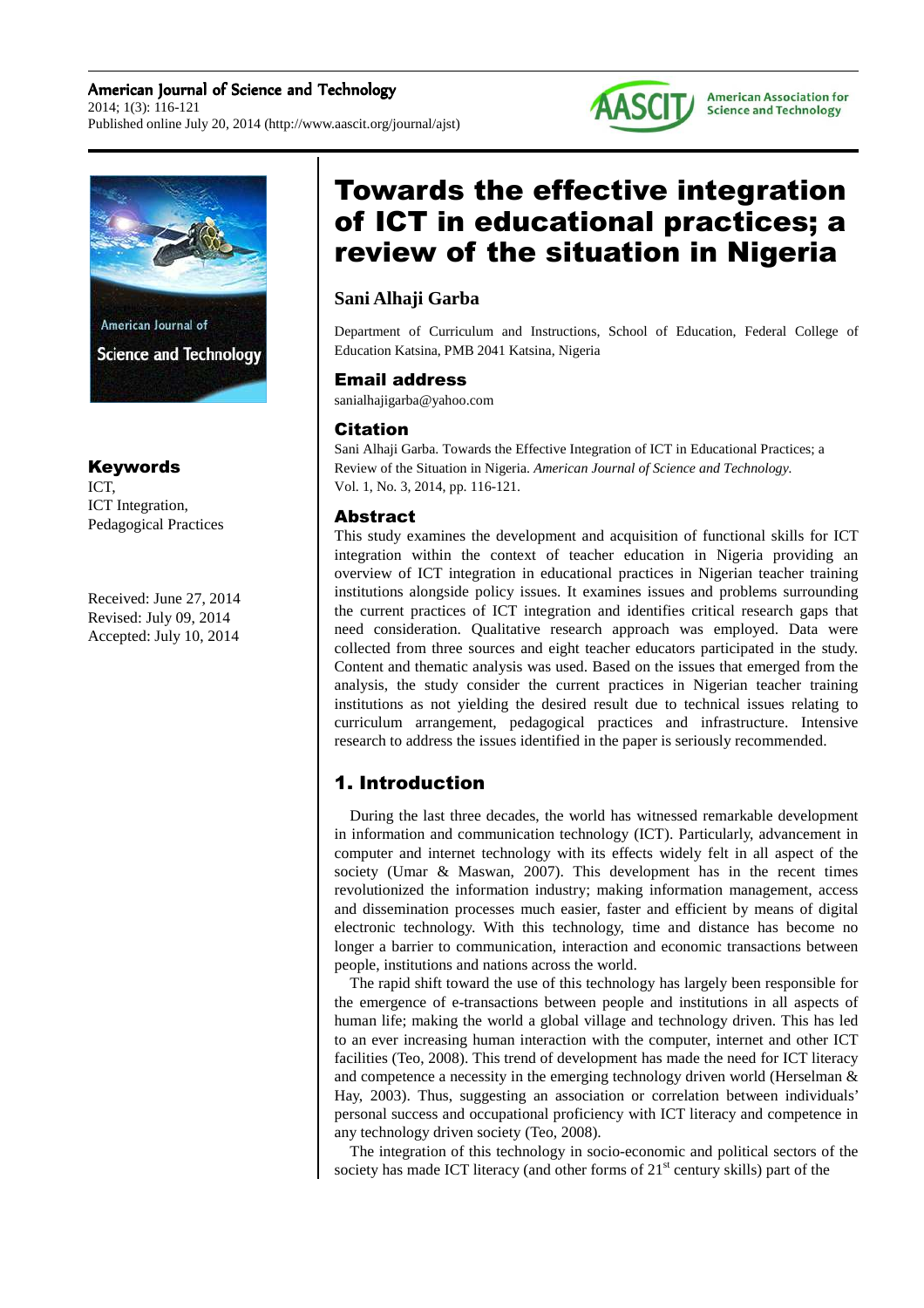



# **Science and Technology**

#### Keywords

ICT, ICT Integration, Pedagogical Practices

Received: June 27, 2014 Revised: July 09, 2014 Accepted: July 10, 2014

# Towards the effective integration of ICT in educational practices; a review of the situation in Nigeria

## **Sani Alhaji Garba**

Department of Curriculum and Instructions, School of Education, Federal College of Education Katsina, PMB 2041 Katsina, Nigeria

#### Email address

sanialhajigarba@yahoo.com

### Citation

Sani Alhaji Garba. Towards the Effective Integration of ICT in Educational Practices; a Review of the Situation in Nigeria. *American Journal of Science and Technology.* Vol. 1, No. 3, 2014, pp. 116-121.

#### Abstract

This study examines the development and acquisition of functional skills for ICT integration within the context of teacher education in Nigeria providing an overview of ICT integration in educational practices in Nigerian teacher training institutions alongside policy issues. It examines issues and problems surrounding the current practices of ICT integration and identifies critical research gaps that need consideration. Qualitative research approach was employed. Data were collected from three sources and eight teacher educators participated in the study. Content and thematic analysis was used. Based on the issues that emerged from the analysis, the study consider the current practices in Nigerian teacher training institutions as not yielding the desired result due to technical issues relating to curriculum arrangement, pedagogical practices and infrastructure. Intensive research to address the issues identified in the paper is seriously recommended.

## 1. Introduction

During the last three decades, the world has witnessed remarkable development in information and communication technology (ICT). Particularly, advancement in computer and internet technology with its effects widely felt in all aspect of the society (Umar & Maswan, 2007). This development has in the recent times revolutionized the information industry; making information management, access and dissemination processes much easier, faster and efficient by means of digital electronic technology. With this technology, time and distance has become no longer a barrier to communication, interaction and economic transactions between people, institutions and nations across the world.

The rapid shift toward the use of this technology has largely been responsible for the emergence of e-transactions between people and institutions in all aspects of human life; making the world a global village and technology driven. This has led to an ever increasing human interaction with the computer, internet and other ICT facilities (Teo, 2008). This trend of development has made the need for ICT literacy and competence a necessity in the emerging technology driven world (Herselman & Hay, 2003). Thus, suggesting an association or correlation between individuals' personal success and occupational proficiency with ICT literacy and competence in any technology driven society (Teo, 2008).

The integration of this technology in socio-economic and political sectors of the society has made ICT literacy (and other forms of  $21<sup>st</sup>$  century skills) part of the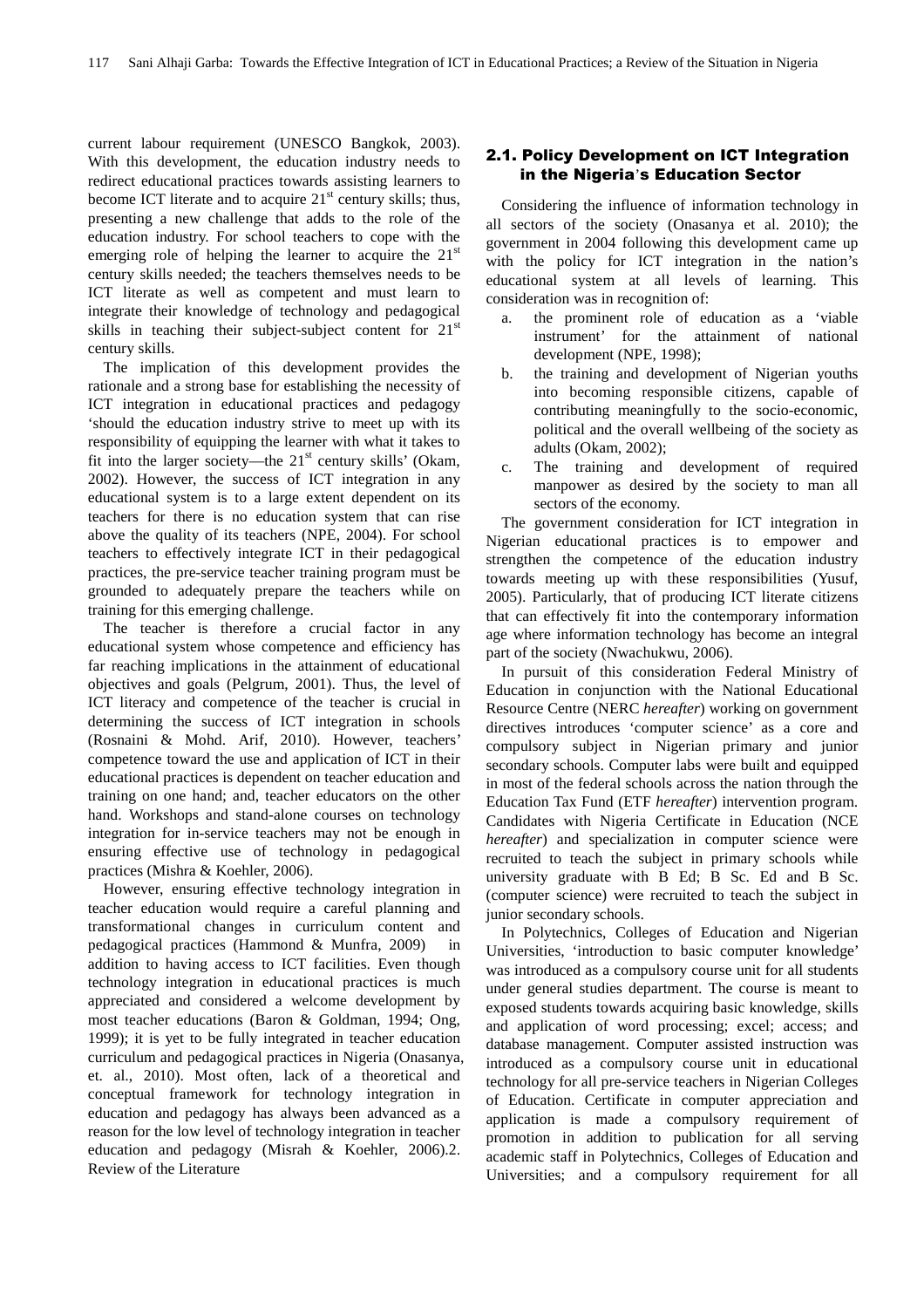current labour requirement (UNESCO Bangkok, 2003). With this development, the education industry needs to redirect educational practices towards assisting learners to become ICT literate and to acquire  $21<sup>st</sup>$  century skills; thus, presenting a new challenge that adds to the role of the education industry. For school teachers to cope with the emerging role of helping the learner to acquire the  $21<sup>st</sup>$ century skills needed; the teachers themselves needs to be ICT literate as well as competent and must learn to integrate their knowledge of technology and pedagogical skills in teaching their subject-subject content for  $21<sup>st</sup>$ century skills.

The implication of this development provides the rationale and a strong base for establishing the necessity of ICT integration in educational practices and pedagogy 'should the education industry strive to meet up with its responsibility of equipping the learner with what it takes to fit into the larger society—the  $21<sup>st</sup>$  century skills' (Okam, 2002). However, the success of ICT integration in any educational system is to a large extent dependent on its teachers for there is no education system that can rise above the quality of its teachers (NPE, 2004). For school teachers to effectively integrate ICT in their pedagogical practices, the pre-service teacher training program must be grounded to adequately prepare the teachers while on training for this emerging challenge.

The teacher is therefore a crucial factor in any educational system whose competence and efficiency has far reaching implications in the attainment of educational objectives and goals (Pelgrum, 2001). Thus, the level of ICT literacy and competence of the teacher is crucial in determining the success of ICT integration in schools (Rosnaini & Mohd. Arif, 2010). However, teachers' competence toward the use and application of ICT in their educational practices is dependent on teacher education and training on one hand; and, teacher educators on the other hand. Workshops and stand-alone courses on technology integration for in-service teachers may not be enough in ensuring effective use of technology in pedagogical practices (Mishra & Koehler, 2006).

However, ensuring effective technology integration in teacher education would require a careful planning and transformational changes in curriculum content and pedagogical practices (Hammond & Munfra, 2009) in addition to having access to ICT facilities. Even though technology integration in educational practices is much appreciated and considered a welcome development by most teacher educations (Baron & Goldman, 1994; Ong, 1999); it is yet to be fully integrated in teacher education curriculum and pedagogical practices in Nigeria (Onasanya, et. al., 2010). Most often, lack of a theoretical and conceptual framework for technology integration in education and pedagogy has always been advanced as a reason for the low level of technology integration in teacher education and pedagogy (Misrah & Koehler, 2006).2. Review of the Literature

#### 2.1. Policy Development on ICT Integration in the Nigeria's Education Sector

Considering the influence of information technology in all sectors of the society (Onasanya et al. 2010); the government in 2004 following this development came up with the policy for ICT integration in the nation's educational system at all levels of learning. This consideration was in recognition of:

- a. the prominent role of education as a 'viable instrument' for the attainment of national development (NPE, 1998);
- b. the training and development of Nigerian youths into becoming responsible citizens, capable of contributing meaningfully to the socio-economic, political and the overall wellbeing of the society as adults (Okam, 2002);
- c. The training and development of required manpower as desired by the society to man all sectors of the economy.

The government consideration for ICT integration in Nigerian educational practices is to empower and strengthen the competence of the education industry towards meeting up with these responsibilities (Yusuf, 2005). Particularly, that of producing ICT literate citizens that can effectively fit into the contemporary information age where information technology has become an integral part of the society (Nwachukwu, 2006).

In pursuit of this consideration Federal Ministry of Education in conjunction with the National Educational Resource Centre (NERC *hereafter*) working on government directives introduces 'computer science' as a core and compulsory subject in Nigerian primary and junior secondary schools. Computer labs were built and equipped in most of the federal schools across the nation through the Education Tax Fund (ETF *hereafter*) intervention program. Candidates with Nigeria Certificate in Education (NCE *hereafter*) and specialization in computer science were recruited to teach the subject in primary schools while university graduate with B Ed; B Sc. Ed and B Sc. (computer science) were recruited to teach the subject in junior secondary schools.

In Polytechnics, Colleges of Education and Nigerian Universities, 'introduction to basic computer knowledge' was introduced as a compulsory course unit for all students under general studies department. The course is meant to exposed students towards acquiring basic knowledge, skills and application of word processing; excel; access; and database management. Computer assisted instruction was introduced as a compulsory course unit in educational technology for all pre-service teachers in Nigerian Colleges of Education. Certificate in computer appreciation and application is made a compulsory requirement of promotion in addition to publication for all serving academic staff in Polytechnics, Colleges of Education and Universities; and a compulsory requirement for all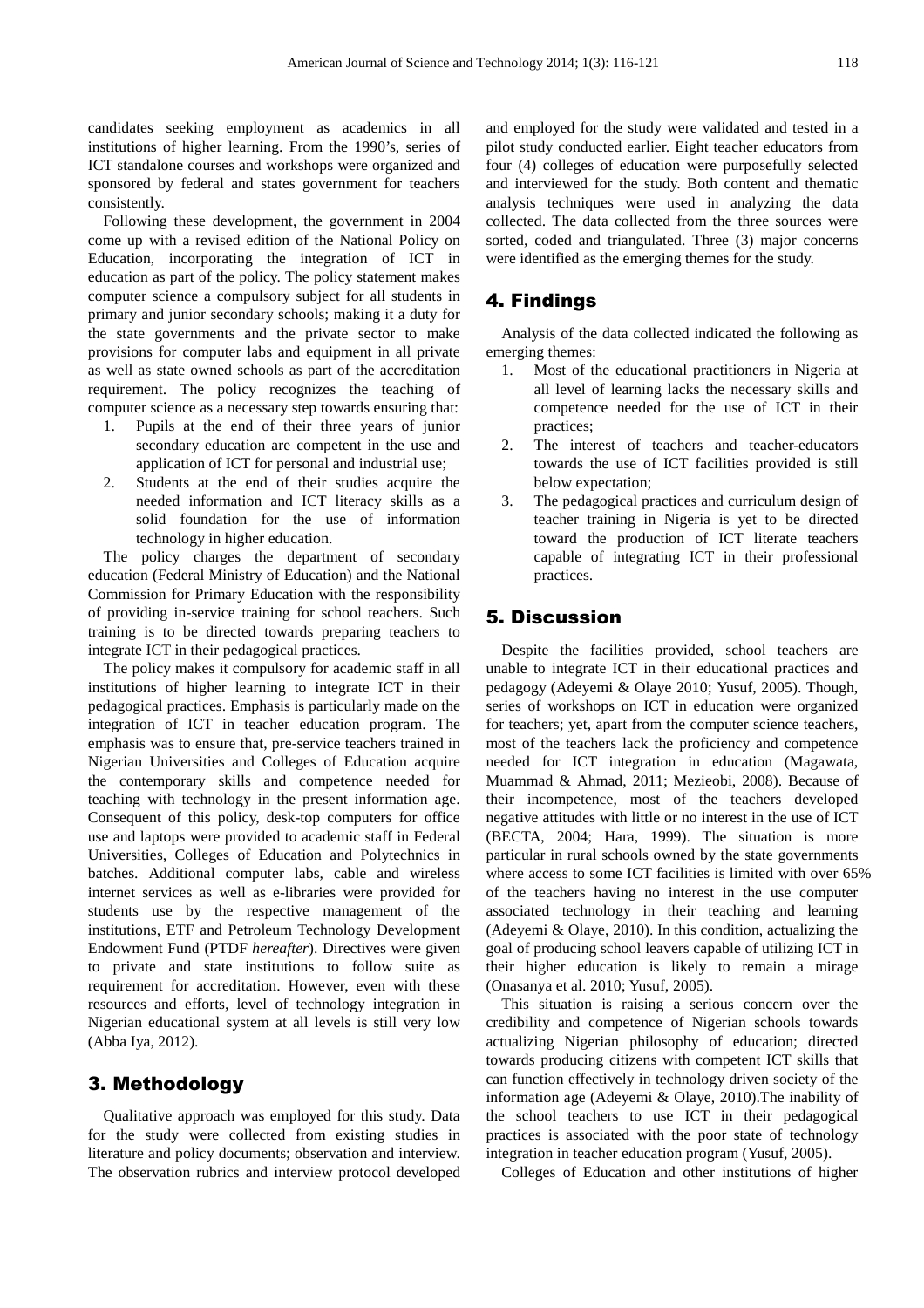candidates seeking employment as academics in all institutions of higher learning. From the 1990's, series of ICT standalone courses and workshops were organized and sponsored by federal and states government for teachers consistently.

Following these development, the government in 2004 come up with a revised edition of the National Policy on Education, incorporating the integration of ICT in education as part of the policy. The policy statement makes computer science a compulsory subject for all students in primary and junior secondary schools; making it a duty for the state governments and the private sector to make provisions for computer labs and equipment in all private as well as state owned schools as part of the accreditation requirement. The policy recognizes the teaching of computer science as a necessary step towards ensuring that:

- 1. Pupils at the end of their three years of junior secondary education are competent in the use and application of ICT for personal and industrial use;
- 2. Students at the end of their studies acquire the needed information and ICT literacy skills as a solid foundation for the use of information technology in higher education.

The policy charges the department of secondary education (Federal Ministry of Education) and the National Commission for Primary Education with the responsibility of providing in-service training for school teachers. Such training is to be directed towards preparing teachers to integrate ICT in their pedagogical practices.

The policy makes it compulsory for academic staff in all institutions of higher learning to integrate ICT in their pedagogical practices. Emphasis is particularly made on the integration of ICT in teacher education program. The emphasis was to ensure that, pre-service teachers trained in Nigerian Universities and Colleges of Education acquire the contemporary skills and competence needed for teaching with technology in the present information age. Consequent of this policy, desk-top computers for office use and laptops were provided to academic staff in Federal Universities, Colleges of Education and Polytechnics in batches. Additional computer labs, cable and wireless internet services as well as e-libraries were provided for students use by the respective management of the institutions, ETF and Petroleum Technology Development Endowment Fund (PTDF *hereafter*). Directives were given to private and state institutions to follow suite as requirement for accreditation. However, even with these resources and efforts, level of technology integration in Nigerian educational system at all levels is still very low (Abba Iya, 2012).

#### 3. Methodology

Qualitative approach was employed for this study. Data for the study were collected from existing studies in literature and policy documents; observation and interview. The observation rubrics and interview protocol developed and employed for the study were validated and tested in a pilot study conducted earlier. Eight teacher educators from four (4) colleges of education were purposefully selected and interviewed for the study. Both content and thematic analysis techniques were used in analyzing the data collected. The data collected from the three sources were sorted, coded and triangulated. Three (3) major concerns were identified as the emerging themes for the study.

#### 4. Findings

Analysis of the data collected indicated the following as emerging themes:

- 1. Most of the educational practitioners in Nigeria at all level of learning lacks the necessary skills and competence needed for the use of ICT in their practices;
- 2. The interest of teachers and teacher-educators towards the use of ICT facilities provided is still below expectation;
- 3. The pedagogical practices and curriculum design of teacher training in Nigeria is yet to be directed toward the production of ICT literate teachers capable of integrating ICT in their professional practices.

#### 5. Discussion

Despite the facilities provided, school teachers are unable to integrate ICT in their educational practices and pedagogy (Adeyemi & Olaye 2010; Yusuf, 2005). Though, series of workshops on ICT in education were organized for teachers; yet, apart from the computer science teachers, most of the teachers lack the proficiency and competence needed for ICT integration in education (Magawata, Muammad & Ahmad, 2011; Mezieobi, 2008). Because of their incompetence, most of the teachers developed negative attitudes with little or no interest in the use of ICT (BECTA, 2004; Hara, 1999). The situation is more particular in rural schools owned by the state governments where access to some ICT facilities is limited with over 65% of the teachers having no interest in the use computer associated technology in their teaching and learning (Adeyemi & Olaye, 2010). In this condition, actualizing the goal of producing school leavers capable of utilizing ICT in their higher education is likely to remain a mirage (Onasanya et al. 2010; Yusuf, 2005).

This situation is raising a serious concern over the credibility and competence of Nigerian schools towards actualizing Nigerian philosophy of education; directed towards producing citizens with competent ICT skills that can function effectively in technology driven society of the information age (Adeyemi & Olaye, 2010).The inability of the school teachers to use ICT in their pedagogical practices is associated with the poor state of technology integration in teacher education program (Yusuf, 2005).

Colleges of Education and other institutions of higher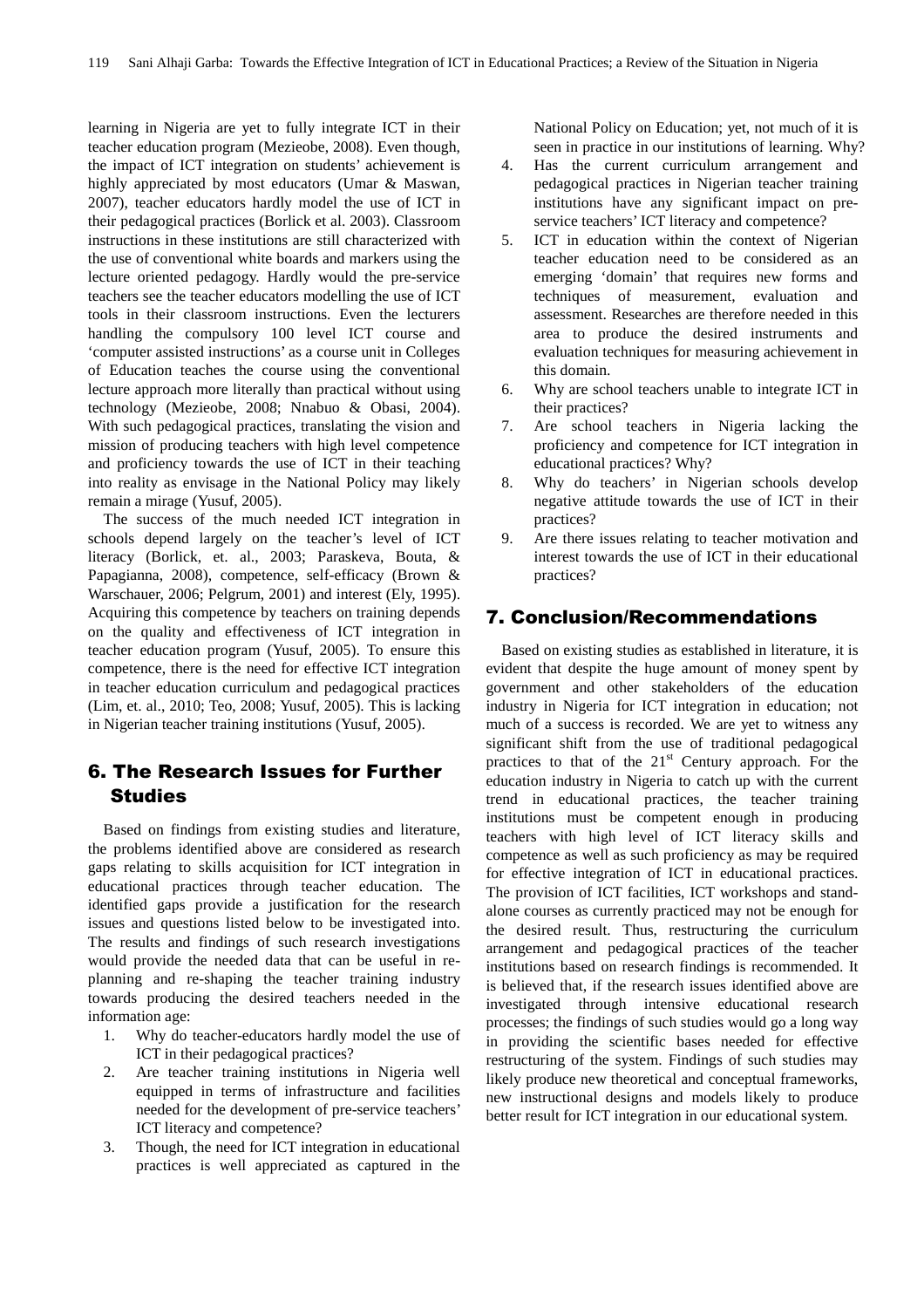learning in Nigeria are yet to fully integrate ICT in their teacher education program (Mezieobe, 2008). Even though, the impact of ICT integration on students' achievement is highly appreciated by most educators (Umar & Maswan, 2007), teacher educators hardly model the use of ICT in their pedagogical practices (Borlick et al. 2003). Classroom instructions in these institutions are still characterized with the use of conventional white boards and markers using the lecture oriented pedagogy. Hardly would the pre-service teachers see the teacher educators modelling the use of ICT tools in their classroom instructions. Even the lecturers handling the compulsory 100 level ICT course and 'computer assisted instructions' as a course unit in Colleges of Education teaches the course using the conventional lecture approach more literally than practical without using technology (Mezieobe, 2008; Nnabuo & Obasi, 2004). With such pedagogical practices, translating the vision and mission of producing teachers with high level competence and proficiency towards the use of ICT in their teaching into reality as envisage in the National Policy may likely remain a mirage (Yusuf, 2005).

The success of the much needed ICT integration in schools depend largely on the teacher's level of ICT literacy (Borlick, et. al., 2003; Paraskeva, Bouta, & Papagianna, 2008), competence, self-efficacy (Brown & Warschauer, 2006; Pelgrum, 2001) and interest (Ely, 1995). Acquiring this competence by teachers on training depends on the quality and effectiveness of ICT integration in teacher education program (Yusuf, 2005). To ensure this competence, there is the need for effective ICT integration in teacher education curriculum and pedagogical practices (Lim, et. al., 2010; Teo, 2008; Yusuf, 2005). This is lacking in Nigerian teacher training institutions (Yusuf, 2005).

## 6. The Research Issues for Further **Studies**

Based on findings from existing studies and literature, the problems identified above are considered as research gaps relating to skills acquisition for ICT integration in educational practices through teacher education. The identified gaps provide a justification for the research issues and questions listed below to be investigated into. The results and findings of such research investigations would provide the needed data that can be useful in replanning and re-shaping the teacher training industry towards producing the desired teachers needed in the information age:

- 1. Why do teacher-educators hardly model the use of ICT in their pedagogical practices?
- 2. Are teacher training institutions in Nigeria well equipped in terms of infrastructure and facilities needed for the development of pre-service teachers' ICT literacy and competence?
- 3. Though, the need for ICT integration in educational practices is well appreciated as captured in the

National Policy on Education; yet, not much of it is seen in practice in our institutions of learning. Why?

- 4. Has the current curriculum arrangement and pedagogical practices in Nigerian teacher training institutions have any significant impact on preservice teachers' ICT literacy and competence?
- 5. ICT in education within the context of Nigerian teacher education need to be considered as an emerging 'domain' that requires new forms and techniques of measurement, evaluation and assessment. Researches are therefore needed in this area to produce the desired instruments and evaluation techniques for measuring achievement in this domain.
- 6. Why are school teachers unable to integrate ICT in their practices?
- 7. Are school teachers in Nigeria lacking the proficiency and competence for ICT integration in educational practices? Why?
- 8. Why do teachers' in Nigerian schools develop negative attitude towards the use of ICT in their practices?
- 9. Are there issues relating to teacher motivation and interest towards the use of ICT in their educational practices?

#### 7. Conclusion/Recommendations

Based on existing studies as established in literature, it is evident that despite the huge amount of money spent by government and other stakeholders of the education industry in Nigeria for ICT integration in education; not much of a success is recorded. We are yet to witness any significant shift from the use of traditional pedagogical practices to that of the  $21<sup>st</sup>$  Century approach. For the education industry in Nigeria to catch up with the current trend in educational practices, the teacher training institutions must be competent enough in producing teachers with high level of ICT literacy skills and competence as well as such proficiency as may be required for effective integration of ICT in educational practices. The provision of ICT facilities, ICT workshops and standalone courses as currently practiced may not be enough for the desired result. Thus, restructuring the curriculum arrangement and pedagogical practices of the teacher institutions based on research findings is recommended. It is believed that, if the research issues identified above are investigated through intensive educational research processes; the findings of such studies would go a long way in providing the scientific bases needed for effective restructuring of the system. Findings of such studies may likely produce new theoretical and conceptual frameworks, new instructional designs and models likely to produce better result for ICT integration in our educational system.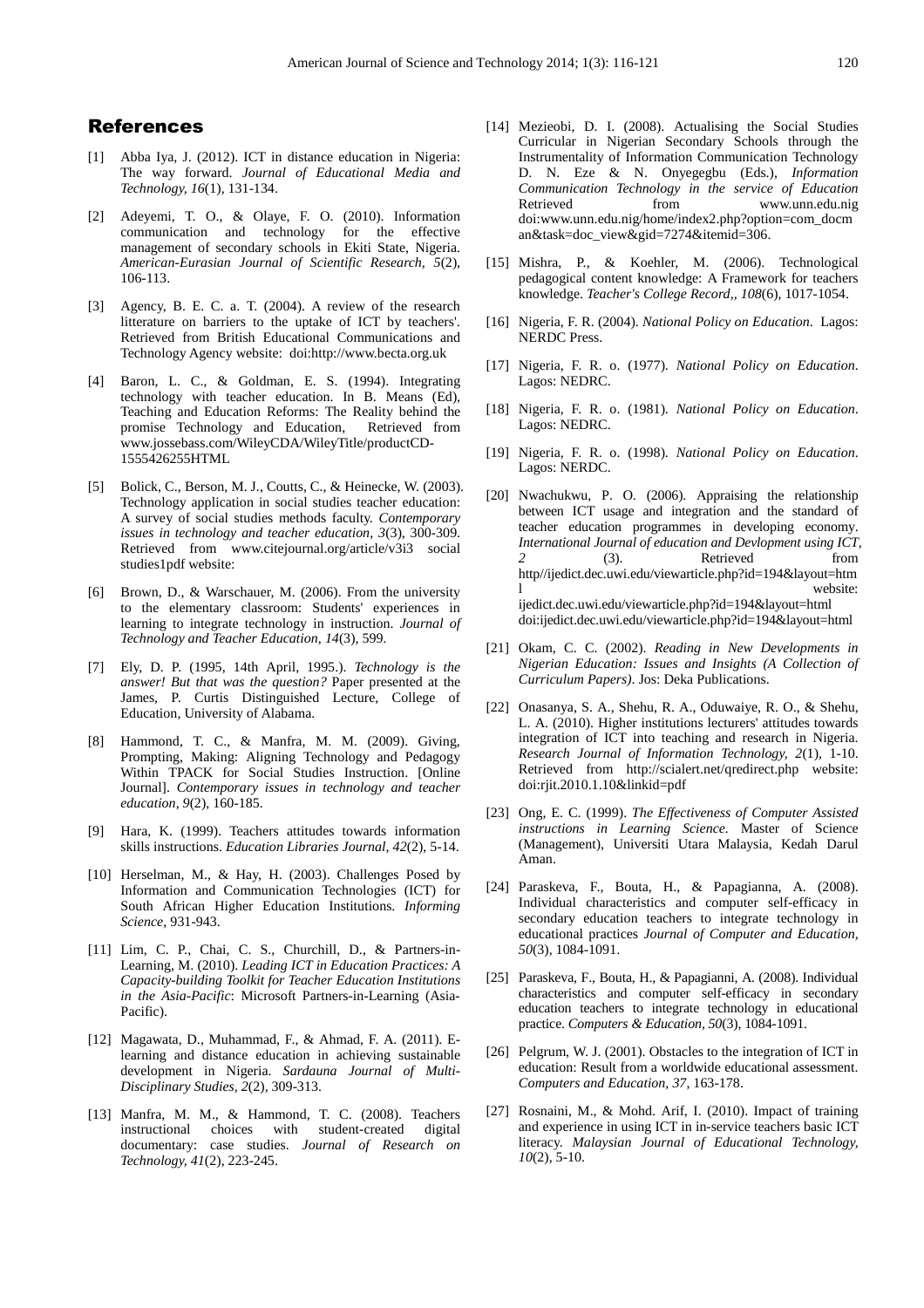#### References

- [1] Abba Iya, J. (2012). ICT in distance education in Nigeria: The way forward. *Journal of Educational Media and Technology, 16*(1), 131-134.
- [2] Adeyemi, T. O., & Olaye, F. O. (2010). Information communication and technology for the effective management of secondary schools in Ekiti State, Nigeria. *American-Eurasian Journal of Scientific Research, 5*(2), 106-113.
- [3] Agency, B. E. C. a. T. (2004). A review of the research litterature on barriers to the uptake of ICT by teachers'. Retrieved from British Educational Communications and Technology Agency website: doi:http://www.becta.org.uk
- [4] Baron, L. C., & Goldman, E. S. (1994). Integrating technology with teacher education. In B. Means (Ed), Teaching and Education Reforms: The Reality behind the promise Technology and Education, Retrieved from www.jossebass.com/WileyCDA/WileyTitle/productCD-1555426255HTML
- [5] Bolick, C., Berson, M. J., Coutts, C., & Heinecke, W. (2003). Technology application in social studies teacher education: A survey of social studies methods faculty. *Contemporary issues in technology and teacher education, 3*(3), 300-309. Retrieved from www.citejournal.org/article/v3i3 social studies1pdf website:
- [6] Brown, D., & Warschauer, M. (2006). From the university to the elementary classroom: Students' experiences in learning to integrate technology in instruction. *Journal of Technology and Teacher Education, 14*(3), 599.
- [7] Ely, D. P. (1995, 14th April, 1995.). *Technology is the answer! But that was the question?* Paper presented at the James, P. Curtis Distinguished Lecture, College of Education, University of Alabama.
- [8] Hammond, T. C., & Manfra, M. M. (2009). Giving, Prompting, Making: Aligning Technology and Pedagogy Within TPACK for Social Studies Instruction. [Online Journal]. *Contemporary issues in technology and teacher education, 9*(2), 160-185.
- [9] Hara, K. (1999). Teachers attitudes towards information skills instructions. *Education Libraries Journal, 42*(2), 5-14.
- [10] Herselman, M., & Hay, H. (2003). Challenges Posed by Information and Communication Technologies (ICT) for South African Higher Education Institutions. *Informing Science*, 931-943.
- [11] Lim, C. P., Chai, C. S., Churchill, D., & Partners-in-Learning, M. (2010). *Leading ICT in Education Practices: A Capacity-building Toolkit for Teacher Education Institutions in the Asia-Pacific*: Microsoft Partners-in-Learning (Asia-Pacific).
- [12] Magawata, D., Muhammad, F., & Ahmad, F. A. (2011). Elearning and distance education in achieving sustainable development in Nigeria. *Sardauna Journal of Multi-Disciplinary Studies, 2*(2), 309-313.
- [13] Manfra, M. M., & Hammond, T. C. (2008). Teachers instructional choices with student-created digital documentary: case studies. *Journal of Research on Technology, 41*(2), 223-245.
- [14] Mezieobi, D. I. (2008). Actualising the Social Studies Curricular in Nigerian Secondary Schools through the Instrumentality of Information Communication Technology D. N. Eze & N. Onyegegbu (Eds.), *Information Communication Technology in the service of Education* Retrieved from www.unn.edu.nig doi:www.unn.edu.nig/home/index2.php?option=com\_docm an&task=doc\_view&gid=7274&itemid=306.
- [15] Mishra, P., & Koehler, M. (2006). Technological pedagogical content knowledge: A Framework for teachers knowledge. *Teacher's College Record,, 108*(6), 1017-1054.
- [16] Nigeria, F. R. (2004). *National Policy on Education*. Lagos: NERDC Press.
- [17] Nigeria, F. R. o. (1977). *National Policy on Education*. Lagos: NEDRC.
- [18] Nigeria, F. R. o. (1981). *National Policy on Education*. Lagos: NEDRC.
- [19] Nigeria, F. R. o. (1998). *National Policy on Education*. Lagos: NERDC.
- [20] Nwachukwu, P. O. (2006). Appraising the relationship between ICT usage and integration and the standard of teacher education programmes in developing economy. *International Journal of education and Devlopment using ICT, 2* (3). Retrieved from http//ijedict.dec.uwi.edu/viewarticle.php?id=194&layout=htm l website: ijedict.dec.uwi.edu/viewarticle.php?id=194&layout=html doi:ijedict.dec.uwi.edu/viewarticle.php?id=194&layout=html
- [21] Okam, C. C. (2002). *Reading in New Developments in Nigerian Education: Issues and Insights (A Collection of Curriculum Papers)*. Jos: Deka Publications.
- [22] Onasanya, S. A., Shehu, R. A., Oduwaiye, R. O., & Shehu, L. A. (2010). Higher institutions lecturers' attitudes towards integration of ICT into teaching and research in Nigeria. *Research Journal of Information Technology, 2*(1), 1-10. Retrieved from http://scialert.net/qredirect.php website: doi:rjit.2010.1.10&linkid=pdf
- [23] Ong, E. C. (1999). *The Effectiveness of Computer Assisted instructions in Learning Science.* Master of Science (Management), Universiti Utara Malaysia, Kedah Darul Aman.
- [24] Paraskeva, F., Bouta, H., & Papagianna, A. (2008). Individual characteristics and computer self-efficacy in secondary education teachers to integrate technology in educational practices *Journal of Computer and Education, 50*(3), 1084-1091.
- [25] Paraskeva, F., Bouta, H., & Papagianni, A. (2008). Individual characteristics and computer self-efficacy in secondary education teachers to integrate technology in educational practice. *Computers & Education, 50*(3), 1084-1091.
- [26] Pelgrum, W. J. (2001). Obstacles to the integration of ICT in education: Result from a worldwide educational assessment. *Computers and Education, 37*, 163-178.
- [27] Rosnaini, M., & Mohd. Arif, I. (2010). Impact of training and experience in using ICT in in-service teachers basic ICT literacy. *Malaysian Journal of Educational Technology, 10*(2), 5-10.